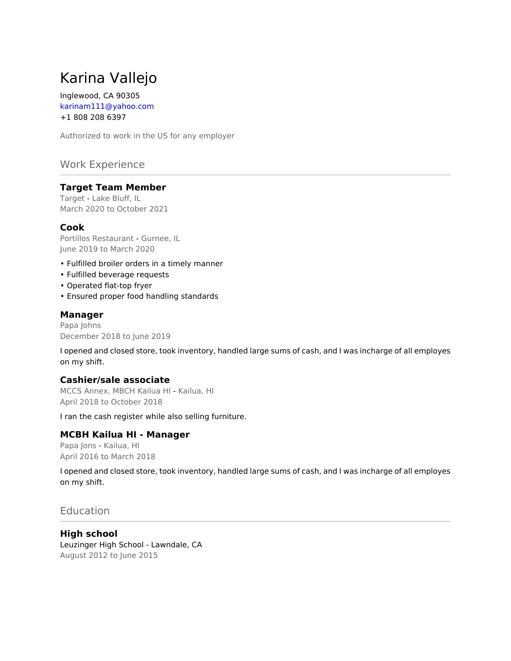# Karina Vallejo

Inglewood, CA 90305 karinam111@yahoo.com +1 808 208 6397

Authorized to work in the US for any employer

# Work Experience

#### **Target Team Member**

Target - Lake Bluff, IL March 2020 to October 2021

## **Cook**

Portillos Restaurant - Gurnee, IL June 2019 to March 2020

- Fulfilled broiler orders in a timely manner
- Fulfilled beverage requests
- Operated flat-top fryer
- Ensured proper food handling standards

#### **Manager**

Papa Johns December 2018 to June 2019

I opened and closed store, took inventory, handled large sums of cash, and I was incharge of all employes on my shift.

#### **Cashier/sale associate**

MCCS Annex, MBCH Kailua HI - Kailua, HI April 2018 to October 2018

I ran the cash register while also selling furniture.

#### **MCBH Kailua HI - Manager**

Papa Jons - Kailua, HI April 2016 to March 2018

I opened and closed store, took inventory, handled large sums of cash, and I was incharge of all employes on my shift.

# **Education**

**High school** Leuzinger High School - Lawndale, CA August 2012 to June 2015